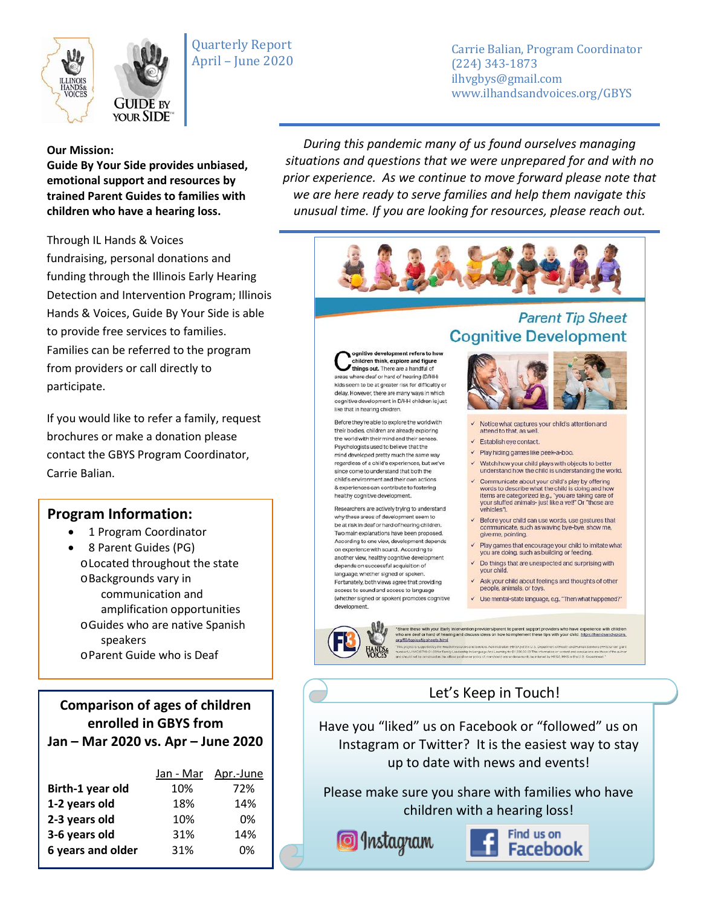



Carrie Balian, Program Coordinator (224) 343-1873 ilhvgbys@gmail.com www.ilhandsandvoices.org/GBYS

#### **Our Mission:**

**Guide By Your Side provides unbiased, emotional support and resources by trained Parent Guides to families with children who have a hearing loss.** 

Through IL Hands & Voices fundraising, personal donations and funding through the Illinois Early Hearing Detection and Intervention Program; Illinois Hands & Voices, Guide By Your Side is able to provide free services to families. Families can be referred to the program from providers or call directly to participate.

If you would like to refer a family, request brochures or make a donation please contact the GBYS Program Coordinator, Carrie Balian.

### **Program Information:**

- 1 Program Coordinator
- 8 Parent Guides (PG) oLocated throughout the state oBackgrounds vary in communication and amplification opportunities oGuides who are native Spanish speakers oParent Guide who is Deaf

**Comparison of ages of children enrolled in GBYS from Jan – Mar 2020 vs. Apr – June 2020**

|                   | Jan - Mar | Apr.-June |
|-------------------|-----------|-----------|
| Birth-1 year old  | 10%       | 72%       |
| 1-2 years old     | 18%       | 14%       |
| 2-3 years old     | 10%       | 0%        |
| 3-6 years old     | 31%       | 14%       |
| 6 years and older | 31%       | 0%        |
|                   |           |           |

*During this pandemic many of us found ourselves managing situations and questions that we were unprepared for and with no prior experience. As we continue to move forward please note that we are here ready to serve families and help them navigate this unusual time. If you are looking for resources, please reach out.*



ognitive development refers to how children think, explore and figure things out. There are a handful of areas where deaf or hard of hearing (D/HH) kids seem to be at greater risk for difficultly or delay. However, there are many ways in which cognitive development in D/HH children is just like that in hearing children.

Before they're able to explore the world with their bodies, children are already exploring the world with their mind and their senses. Psychologists used to believe that the mind developed pretty much the same way regardless of a child's experiences, but we've since come to understand that both the child's environment and their own actions & experiences can contribute to fostering healthy cognitive development.

Researchers are actively trying to understand why these areas of development seem to be at risk in deaf or hard of hearing children. Two main explanations have been proposed. According to one view, development depends on experience with sound. According to another view, healthy cognitive development depends on successful acquisition of language, whether signed or spoken. Fortunately, both views agree that providing access to sound and access to language (whether signed or spoken) promotes cognitive development.

## **Parent Tip Sheet Cognitive Development**



- Notice what captures your child's attention and attend to that, as well
- Establish eye contact.
- √ Play hiding games like peek-a-boo.
- V Watch how your child plays with objects to better understand how the child is understanding the world.
- ← Communicate about your child's play by offering bords to describe what the child is doing and how<br>items are categorized (e.g., "you are taking care of<br>your stuffed animals- just like a vet!" Or "those are vehicles").
- $\checkmark$  Before your child can use words, use gestures that communicate, such as waving bye-bye, show me, give me, pointing.
- $\checkmark$  Play games that encourage your child to imitate what<br>you are doing, such as building or feeding.
- $\checkmark$  Do things that are unexpected and surprising with your child.
- Ask your child about feelings and thoughts of other people, animals, or toys.
- V Use mental-state language, e.g., "Then what happened?"

\*Share these with your Early intervention providersiparent to parent support providers who have experience with children<br>who are dest of hand of hearing and discuss ideas on how to implement these tips with your child. htt

Let's Keep in Touch!

Have you "liked" us on Facebook or "followed" us on Instagram or Twitter? It is the easiest way to stay up to date with news and events!

Please make sure you share with families who have children with a hearing loss!